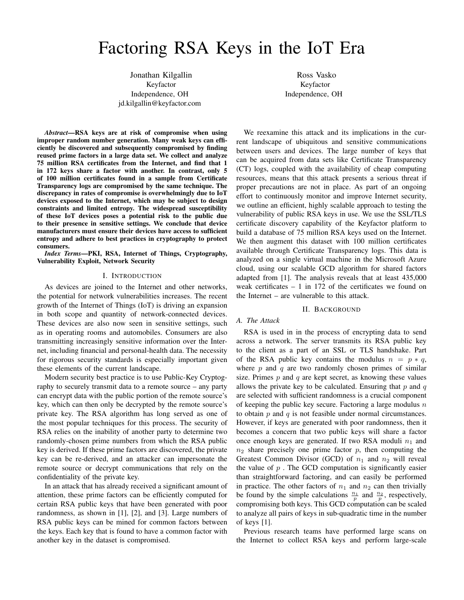# Factoring RSA Keys in the IoT Era

Jonathan Kilgallin Keyfactor Independence, OH jd.kilgallin@keyfactor.com

*Abstract*—RSA keys are at risk of compromise when using improper random number generation. Many weak keys can efficiently be discovered and subsequently compromised by finding reused prime factors in a large data set. We collect and analyze 75 million RSA certificates from the Internet, and find that 1 in 172 keys share a factor with another. In contrast, only 5 of 100 million certificates found in a sample from Certificate Transparency logs are compromised by the same technique. The discrepancy in rates of compromise is overwhelmingly due to IoT devices exposed to the Internet, which may be subject to design constraints and limited entropy. The widespread susceptibility of these IoT devices poses a potential risk to the public due to their presence in sensitive settings. We conclude that device manufacturers must ensure their devices have access to sufficient entropy and adhere to best practices in cryptography to protect consumers.

*Index Terms*—PKI, RSA, Internet of Things, Cryptography, Vulnerability Exploit, Network Security

## I. INTRODUCTION

As devices are joined to the Internet and other networks, the potential for network vulnerabilities increases. The recent growth of the Internet of Things (IoT) is driving an expansion in both scope and quantity of network-connected devices. These devices are also now seen in sensitive settings, such as in operating rooms and automobiles. Consumers are also transmitting increasingly sensitive information over the Internet, including financial and personal-health data. The necessity for rigorous security standards is especially important given these elements of the current landscape.

Modern security best practice is to use Public-Key Cryptography to securely transmit data to a remote source – any party can encrypt data with the public portion of the remote source's key, which can then only be decrypted by the remote source's private key. The RSA algorithm has long served as one of the most popular techniques for this process. The security of RSA relies on the inability of another party to determine two randomly-chosen prime numbers from which the RSA public key is derived. If these prime factors are discovered, the private key can be re-derived, and an attacker can impersonate the remote source or decrypt communications that rely on the confidentiality of the private key.

In an attack that has already received a significant amount of attention, these prime factors can be efficiently computed for certain RSA public keys that have been generated with poor randomness, as shown in [1], [2], and [3]. Large numbers of RSA public keys can be mined for common factors between the keys. Each key that is found to have a common factor with another key in the dataset is compromised.

Ross Vasko Keyfactor Independence, OH

We reexamine this attack and its implications in the current landscape of ubiquitous and sensitive communications between users and devices. The large number of keys that can be acquired from data sets like Certificate Transparency (CT) logs, coupled with the availability of cheap computing resources, means that this attack presents a serious threat if proper precautions are not in place. As part of an ongoing effort to continuously monitor and improve Internet security, we outline an efficient, highly scalable approach to testing the vulnerability of public RSA keys in use. We use the SSL/TLS certificate discovery capability of the Keyfactor platform to build a database of 75 million RSA keys used on the Internet. We then augment this dataset with 100 million certificates available through Certificate Transparency logs. This data is analyzed on a single virtual machine in the Microsoft Azure cloud, using our scalable GCD algorithm for shared factors adapted from [1]. The analysis reveals that at least 435,000 weak certificates  $-1$  in 172 of the certificates we found on the Internet – are vulnerable to this attack.

## II. BACKGROUND

# *A. The Attack*

RSA is used in in the process of encrypting data to send across a network. The server transmits its RSA public key to the client as a part of an SSL or TLS handshake. Part of the RSA public key contains the modulus  $n = p * q$ , where  $p$  and  $q$  are two randomly chosen primes of similar size. Primes  $p$  and  $q$  are kept secret, as knowing these values allows the private key to be calculated. Ensuring that  $p$  and  $q$ are selected with sufficient randomness is a crucial component of keeping the public key secure. Factoring a large modulus  $n$ to obtain  $p$  and  $q$  is not feasible under normal circumstances. However, if keys are generated with poor randomness, then it becomes a concern that two public keys will share a factor once enough keys are generated. If two RSA moduli  $n_1$  and  $n_2$  share precisely one prime factor  $p$ , then computing the Greatest Common Divisor (GCD) of  $n_1$  and  $n_2$  will reveal the value of  $p$ . The GCD computation is significantly easier than straightforward factoring, and can easily be performed in practice. The other factors of  $n_1$  and  $n_2$  can then trivially be found by the simple calculations  $\frac{n_1}{p}$  and  $\frac{n_2}{p}$ , respectively, compromising both keys. This GCD computation can be scaled to analyze all pairs of keys in sub-quadratic time in the number of keys [1].

Previous research teams have performed large scans on the Internet to collect RSA keys and perform large-scale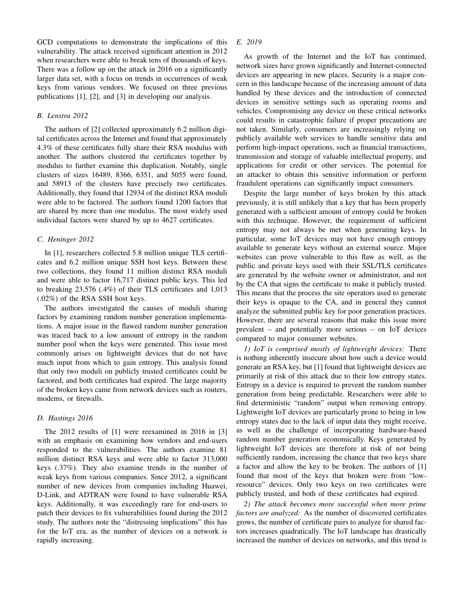GCD computations to demonstrate the implications of this vulnerability. The attack received significant attention in 2012 when researchers were able to break tens of thousands of keys. There was a follow up on the attack in 2016 on a significantly larger data set, with a focus on trends in occurrences of weak keys from various vendors. We focused on three previous publications [1], [2], and [3] in developing our analysis.

# *B. Lenstra 2012*

The authors of [2] collected approximately 6.2 million digital certificates across the Internet and found that approximately 4.3% of these certificates fully share their RSA modulus with another. The authors clustered the certificates together by modulus to further examine this duplication. Notably, single clusters of sizes 16489, 8366, 6351, and 5055 were found, and 58913 of the clusters have precisely two certificates. Additionally, they found that 12934 of the distinct RSA moduli were able to be factored. The authors found 1200 factors that are shared by more than one modulus. The most widely used individual factors were shared by up to 4627 certificates.

## *C. Heninger 2012*

In [1], researchers collected 5.8 million unique TLS certificates and 6.2 million unique SSH host keys. Between these two collections, they found 11 million distinct RSA moduli and were able to factor 16,717 distinct public keys. This led to breaking 23,576 (.4%) of their TLS certificates and 1,013 (.02%) of the RSA SSH host keys.

The authors investigated the causes of moduli sharing factors by examining random number generation implementations. A major issue in the flawed random number generation was traced back to a low amount of entropy in the random number pool when the keys were generated. This issue most commonly arises on lightweight devices that do not have much input from which to gain entropy. This analysis found that only two moduli on publicly trusted certificates could be factored, and both certificates had expired. The large majority of the broken keys came from network devices such as routers, modems, or firewalls.

# *D. Hastings 2016*

The 2012 results of [1] were reexamined in 2016 in [3] with an emphasis on examining how vendors and end-users responded to the vulnerabilities. The authors examine 81 million distinct RSA keys and were able to factor 313,000 keys (.37%). They also examine trends in the number of weak keys from various companies. Since 2012, a significant number of new devices from companies including Huawei, D-Link, and ADTRAN were found to have vulnerable RSA keys. Additionally, it was exceedingly rare for end-users to patch their devices to fix vulnerabilities found during the 2012 study. The authors note the "distressing implications" this has for the IoT era, as the number of devices on a network is rapidly increasing.

# *E. 2019*

As growth of the Internet and the IoT has continued, network sizes have grown significantly and Internet-connected devices are appearing in new places. Security is a major concern in this landscape because of the increasing amount of data handled by these devices and the introduction of connected devices in sensitive settings such as operating rooms and vehicles. Compromising any device on these critical networks could results in catastrophic failure if proper precautions are not taken. Similarly, consumers are increasingly relying on publicly available web services to handle sensitive data and perform high-impact operations, such as financial transactions, transmission and storage of valuable intellectual property, and applications for credit or other services. The potential for an attacker to obtain this sensitive information or perform fraudulent operations can significantly impact consumers.

Despite the large number of keys broken by this attack previously, it is still unlikely that a key that has been properly generated with a sufficient amount of entropy could be broken with this technique. However, the requirement of sufficient entropy may not always be met when generating keys. In particular, some IoT devices may not have enough entropy available to generate keys without an external source. Major websites can prove vulnerable to this flaw as well, as the public and private keys used with their SSL/TLS certificates are generated by the website owner or administrator, and not by the CA that signs the certificate to make it publicly trusted. This means that the process the site operators used to generate their keys is opaque to the CA, and in general they cannot analyze the submitted public key for poor generation practices. However, there are several reasons that make this issue more prevalent – and potentially more serious – on IoT devices compared to major consumer websites.

*1) IoT is comprised mostly of lightweight devices:* There is nothing inherently insecure about how such a device would generate an RSA key, but [1] found that lightweight devices are primarily at risk of this attack due to their low entropy states. Entropy in a device is required to prevent the random number generation from being predictable. Researchers were able to find deterministic "random" output when removing entropy. Lightweight IoT devices are particularly prone to being in low entropy states due to the lack of input data they might receive, as well as the challenge of incorporating hardware-based random number generation economically. Keys generated by lightweight IoT devices are therefore at risk of not being sufficiently random, increasing the chance that two keys share a factor and allow the key to be broken. The authors of [1] found that most of the keys that broken were from "lowresource" devices. Only two keys on two certificates were publicly trusted, and both of these certificates had expired.

*2) The attack becomes more successful when more prime factors are analyzed:* As the number of discovered certificates grows, the number of certificate pairs to analyze for shared factors increases quadratically. The IoT landscape has drastically increased the number of devices on networks, and this trend is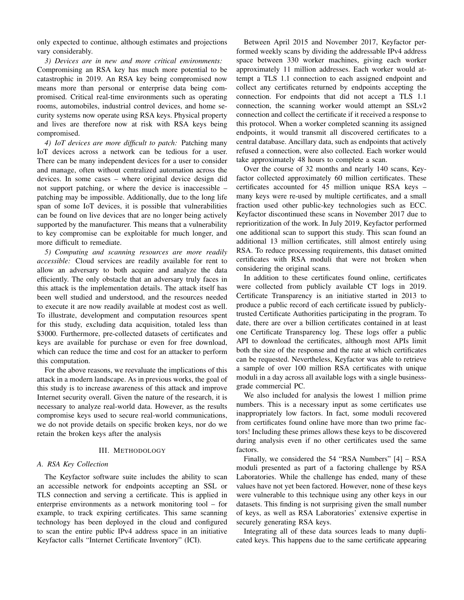only expected to continue, although estimates and projections vary considerably.

*3) Devices are in new and more critical environments:* Compromising an RSA key has much more potential to be catastrophic in 2019. An RSA key being compromised now means more than personal or enterprise data being compromised. Critical real-time environments such as operating rooms, automobiles, industrial control devices, and home security systems now operate using RSA keys. Physical property and lives are therefore now at risk with RSA keys being compromised.

*4) IoT devices are more difficult to patch:* Patching many IoT devices across a network can be tedious for a user. There can be many independent devices for a user to consider and manage, often without centralized automation across the devices. In some cases – where original device design did not support patching, or where the device is inaccessible – patching may be impossible. Additionally, due to the long life span of some IoT devices, it is possible that vulnerabilities can be found on live devices that are no longer being actively supported by the manufacturer. This means that a vulnerability to key compromise can be exploitable for much longer, and more difficult to remediate.

*5) Computing and scanning resources are more readily accessible:* Cloud services are readily available for rent to allow an adversary to both acquire and analyze the data efficiently. The only obstacle that an adversary truly faces in this attack is the implementation details. The attack itself has been well studied and understood, and the resources needed to execute it are now readily available at modest cost as well. To illustrate, development and computation resources spent for this study, excluding data acquisition, totaled less than \$3000. Furthermore, pre-collected datasets of certificates and keys are available for purchase or even for free download, which can reduce the time and cost for an attacker to perform this computation.

For the above reasons, we reevaluate the implications of this attack in a modern landscape. As in previous works, the goal of this study is to increase awareness of this attack and improve Internet security overall. Given the nature of the research, it is necessary to analyze real-world data. However, as the results compromise keys used to secure real-world communications, we do not provide details on specific broken keys, nor do we retain the broken keys after the analysis

#### III. METHODOLOGY

## *A. RSA Key Collection*

The Keyfactor software suite includes the ability to scan an accessible network for endpoints accepting an SSL or TLS connection and serving a certificate. This is applied in enterprise environments as a network monitoring tool – for example, to track expiring certificates. This same scanning technology has been deployed in the cloud and configured to scan the entire public IPv4 address space in an initiative Keyfactor calls "Internet Certificate Inventory" (ICI).

Between April 2015 and November 2017, Keyfactor performed weekly scans by dividing the addressable IPv4 address space between 330 worker machines, giving each worker approximately 11 million addresses. Each worker would attempt a TLS 1.1 connection to each assigned endpoint and collect any certificates returned by endpoints accepting the connection. For endpoints that did not accept a TLS 1.1 connection, the scanning worker would attempt an SSLv2 connection and collect the certificate if it received a response to this protocol. When a worker completed scanning its assigned endpoints, it would transmit all discovered certificates to a central database. Ancillary data, such as endpoints that actively refused a connection, were also collected. Each worker would take approximately 48 hours to complete a scan.

Over the course of 32 months and nearly 140 scans, Keyfactor collected approximately 60 million certificates. These certificates accounted for 45 million unique RSA keys – many keys were re-used by multiple certificates, and a small fraction used other public-key technologies such as ECC. Keyfactor discontinued these scans in November 2017 due to reprioritization of the work. In July 2019, Keyfactor performed one additional scan to support this study. This scan found an additional 13 million certificates, still almost entirely using RSA. To reduce processing requirements, this dataset omitted certificates with RSA moduli that were not broken when considering the original scans.

In addition to these certificates found online, certificates were collected from publicly available CT logs in 2019. Certificate Transparency is an initiative started in 2013 to produce a public record of each certificate issued by publiclytrusted Certificate Authorities participating in the program. To date, there are over a billion certificates contained in at least one Certificate Transparency log. These logs offer a public API to download the certificates, although most APIs limit both the size of the response and the rate at which certificates can be requested. Nevertheless, Keyfactor was able to retrieve a sample of over 100 million RSA certificates with unique moduli in a day across all available logs with a single businessgrade commercial PC.

We also included for analysis the lowest 1 million prime numbers. This is a necessary input as some certificates use inappropriately low factors. In fact, some moduli recovered from certificates found online have more than two prime factors! Including these primes allows these keys to be discovered during analysis even if no other certificates used the same factors.

Finally, we considered the 54 "RSA Numbers" [4] – RSA moduli presented as part of a factoring challenge by RSA Laboratories. While the challenge has ended, many of these values have not yet been factored. However, none of these keys were vulnerable to this technique using any other keys in our datasets. This finding is not surprising given the small number of keys, as well as RSA Laboratories' extensive expertise in securely generating RSA keys.

Integrating all of these data sources leads to many duplicated keys. This happens due to the same certificate appearing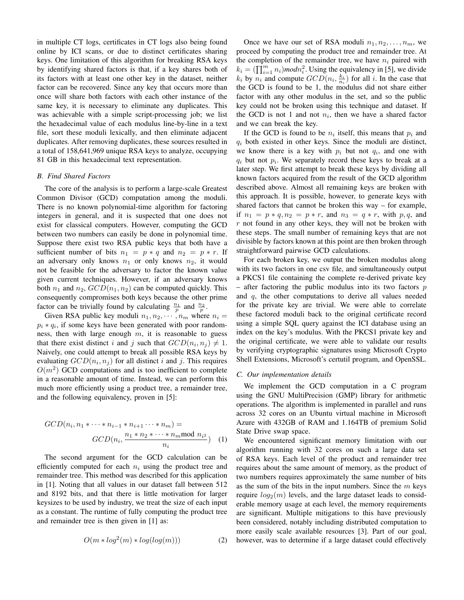in multiple CT logs, certificates in CT logs also being found online by ICI scans, or due to distinct certificates sharing keys. One limitation of this algorithm for breaking RSA keys by identifying shared factors is that, if a key shares both of its factors with at least one other key in the dataset, neither factor can be recovered. Since any key that occurs more than once will share both factors with each other instance of the same key, it is necessary to eliminate any duplicates. This was achievable with a simple script-processing job; we list the hexadecimal value of each modulus line-by-line in a text file, sort these moduli lexically, and then eliminate adjacent duplicates. After removing duplicates, these sources resulted in a total of 158,641,969 unique RSA keys to analyze, occupying 81 GB in this hexadecimal text representation.

## *B. Find Shared Factors*

The core of the analysis is to perform a large-scale Greatest Common Divisor (GCD) computation among the moduli. There is no known polynomial-time algorithm for factoring integers in general, and it is suspected that one does not exist for classical computers. However, computing the GCD between two numbers can easily be done in polynomial time. Suppose there exist two RSA public keys that both have a sufficient number of bits  $n_1 = p * q$  and  $n_2 = p * r$ . If an adversary only knows  $n_1$  or only knows  $n_2$ , it would not be feasible for the adversary to factor the known value given current techniques. However, if an adversary knows both  $n_1$  and  $n_2$ ,  $GCD(n_1, n_2)$  can be computed quickly. This consequently compromises both keys because the other prime factor can be trivially found by calculating  $\frac{n_1}{p}$  and  $\frac{n_2}{p}$ .

Given RSA public key moduli  $n_1, n_2, \cdots, n_m$  where  $n_i =$  $p_i * q_i$ , if some keys have been generated with poor randomness, then with large enough  $m$ , it is reasonable to guess that there exist distinct i and j such that  $GCD(n_i, n_j) \neq 1$ . Naively, one could attempt to break all possible RSA keys by evaluating  $GCD(n_i, n_j)$  for all distinct i and j. This requires  $O(m^2)$  GCD computations and is too inefficient to complete in a reasonable amount of time. Instead, we can perform this much more efficiently using a product tree, a remainder tree, and the following equivalency, proven in [5]:

$$
GCD(n_i, n_1 * \cdots * n_{i-1} * n_{i+1} \cdots * n_m) =
$$
  

$$
GCD(n_i, \frac{n_1 * n_2 * \cdots * n_m \mod n_{i^2}}{n_i})
$$
 (1)

The second argument for the GCD calculation can be efficiently computed for each  $n_i$  using the product tree and remainder tree. This method was described for this application in [1]. Noting that all values in our dataset fall between 512 and 8192 bits, and that there is little motivation for larger keysizes to be used by industry, we treat the size of each input as a constant. The runtime of fully computing the product tree and remainder tree is then given in [1] as:

$$
O(m * log2(m) * log(log(m)))
$$
 (2)

Once we have our set of RSA moduli  $n_1, n_2, \ldots, n_m$ , we proceed by computing the product tree and remainder tree. At the completion of the remainder tree, we have  $n_i$  paired with  $k_i = (\prod_{i=1}^m n_i) \mod n_i^2$ . Using the equivalency in [5], we divide  $k_i$  by  $n_i$  and compute  $GCD(n_i, \frac{k_i}{n_i})$  for all i. In the case that the GCD is found to be 1, the modulus did not share either factor with any other modulus in the set, and so the public key could not be broken using this technique and dataset. If the GCD is not 1 and not  $n_i$ , then we have a shared factor and we can break the key.

If the GCD is found to be  $n_i$  itself, this means that  $p_i$  and  $q_i$  both existed in other keys. Since the moduli are distinct, we know there is a key with  $p_i$  but not  $q_i$ , and one with  $q_i$  but not  $p_i$ . We separately record these keys to break at a later step. We first attempt to break these keys by dividing all known factors acquired from the result of the GCD algorithm described above. Almost all remaining keys are broken with this approach. It is possible, however, to generate keys with shared factors that cannot be broken this way – for example, if  $n_1 = p * q, n_2 = p * r$ , and  $n_3 = q * r$ , with p,q, and  $r$  not found in any other keys, they will not be broken with these steps. The small number of remaining keys that are not divisible by factors known at this point are then broken through straightforward pairwise GCD calculations.

For each broken key, we output the broken modulus along with its two factors in one csv file, and simultaneously output a PKCS1 file containing the complete re-derived private key – after factoring the public modulus into its two factors  $p$ and  $q$ , the other computations to derive all values needed for the private key are trivial. We were able to correlate these factored moduli back to the original certificate record using a simple SQL query against the ICI database using an index on the key's modulus. With the PKCS1 private key and the original certificate, we were able to validate our results by verifying cryptographic signatures using Microsoft Crypto Shell Extensions, Microsoft's certutil program, and OpenSSL.

## *C. Our implementation details*

We implement the GCD computation in a C program using the GNU MultiPrecision (GMP) library for arithmetic operations. The algorithm is implemented in parallel and runs across 32 cores on an Ubuntu virtual machine in Microsoft Azure with 432GB of RAM and 1.164TB of premium Solid State Drive swap space.

We encountered significant memory limitation with our algorithm running with 32 cores on such a large data set of RSA keys. Each level of the product and remainder tree requires about the same amount of memory, as the product of two numbers requires approximately the same number of bits as the sum of the bits in the input numbers. Since the  $m$  keys require  $log_2(m)$  levels, and the large dataset leads to considerable memory usage at each level, the memory requirements are significant. Multiple mitigations to this have previously been considered, notably including distributed computation to more easily scale available resources [3]. Part of our goal, however, was to determine if a large dataset could effectively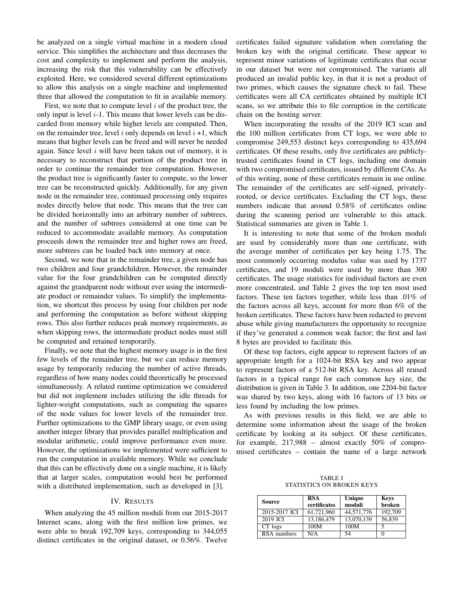be analyzed on a single virtual machine in a modern cloud service. This simplifies the architecture and thus decreases the cost and complexity to implement and perform the analysis, increasing the risk that this vulnerability can be effectively exploited. Here, we considered several different optimizations to allow this analysis on a single machine and implemented three that allowed the computation to fit in available memory.

First, we note that to compute level  $i$  of the product tree, the only input is level  $i-1$ . This means that lower levels can be discarded from memory while higher levels are computed. Then, on the remainder tree, level i only depends on level  $i + 1$ , which means that higher levels can be freed and will never be needed again. Since level  $i$  will have been taken out of memory, it is necessary to reconstruct that portion of the product tree in order to continue the remainder tree computation. However, the product tree is significantly faster to compute, so the lower tree can be reconstructed quickly. Additionally, for any given node in the remainder tree, continued processing only requires nodes directly below that node. This means that the tree can be divided horizontally into an arbitrary number of subtrees, and the number of subtrees considered at one time can be reduced to accommodate available memory. As computation proceeds down the remainder tree and higher rows are freed, more subtrees can be loaded back into memory at once.

Second, we note that in the remainder tree, a given node has two children and four grandchildren. However, the remainder value for the four grandchildren can be computed directly against the grandparent node without ever using the intermediate product or remainder values. To simplify the implementation, we shortcut this process by using four children per node and performing the computation as before without skipping rows. This also further reduces peak memory requirements, as when skipping rows, the intermediate product nodes must still be computed and retained temporarily.

Finally, we note that the highest memory usage is in the first few levels of the remainder tree, but we can reduce memory usage by temporarily reducing the number of active threads, regardless of how many nodes could theoretically be processed simultaneously. A related runtime optimization we considered but did not implement includes utilizing the idle threads for lighter-weight computations, such as computing the squares of the node values for lower levels of the remainder tree. Further optimizations to the GMP library usage, or even using another integer library that provides parallel multiplication and modular arithmetic, could improve performance even more. However, the optimizations we implemented were sufficient to run the computation in available memory. While we conclude that this can be effectively done on a single machine, it is likely that at larger scales, computation would best be performed with a distributed implementation, such as developed in [3].

# IV. RESULTS

When analyzing the 45 million moduli from our 2015-2017 Internet scans, along with the first million low primes, we were able to break 192,709 keys, corresponding to 344,055 distinct certificates in the original dataset, or 0.56%. Twelve certificates failed signature validation when correlating the broken key with the original certificate. These appear to represent minor variations of legitimate certificates that occur in our dataset but were not compromised. The variants all produced an invalid public key, in that it is not a product of two primes, which causes the signature check to fail. These certificates were all CA certificates obtained by multiple ICI scans, so we attribute this to file corruption in the certificate chain on the hosting server.

When incorporating the results of the 2019 ICI scan and the 100 million certificates from CT logs, we were able to compromise 249,553 distinct keys corresponding to 435,694 certificates. Of these results, only five certificates are publiclytrusted certificates found in CT logs, including one domain with two compromised certificates, issued by different CAs. As of this writing, none of these certificates remain in use online. The remainder of the certificates are self-signed, privatelyrooted, or device certificates. Excluding the CT logs, these numbers indicate that around 0.58% of certificates online during the scanning period are vulnerable to this attack. Statistical summaries are given in Table 1.

It is interesting to note that some of the broken moduli are used by considerably more than one certificate, with the average number of certificates per key being 1.75. The most commonly occurring modulus value was used by 1737 certificates, and 19 moduli were used by more than 300 certificates. The usage statistics for individual factors are even more concentrated, and Table 2 gives the top ten most used factors. These ten factors together, while less than .01% of the factors across all keys, account for more than 6% of the broken certificates. These factors have been redacted to prevent abuse while giving manufacturers the opportunity to recognize if they've generated a common weak factor; the first and last 8 bytes are provided to facilitate this.

Of these top factors, eight appear to represent factors of an appropriate length for a 1024-bit RSA key and two appear to represent factors of a 512-bit RSA key. Across all reused factors in a typical range for each common key size, the distribution is given in Table 3. In addition, one 2204-bit factor was shared by two keys, along with 16 factors of 13 bits or less found by including the low primes.

As with previous results in this field, we are able to determine some information about the usage of the broken certificate by looking at its subject. Of these certificates, for example, 217,988 – almost exactly 50% of compromised certificates – contain the name of a large network

TABLE I STATISTICS ON BROKEN KEYS

| <b>Source</b> | <b>RSA</b><br>certificates | Unique<br>moduli | <b>Keys</b><br>broken |
|---------------|----------------------------|------------------|-----------------------|
| 2015-2017 ICI | 61.721.960                 | 44,571,776       | 192,709               |
| 2019 ICI      | 13.186.479                 | 13.070.139       | 56.839                |
| CT logs       | 100M                       | 100M             |                       |
| RSA numbers   | N/A                        | 54               |                       |